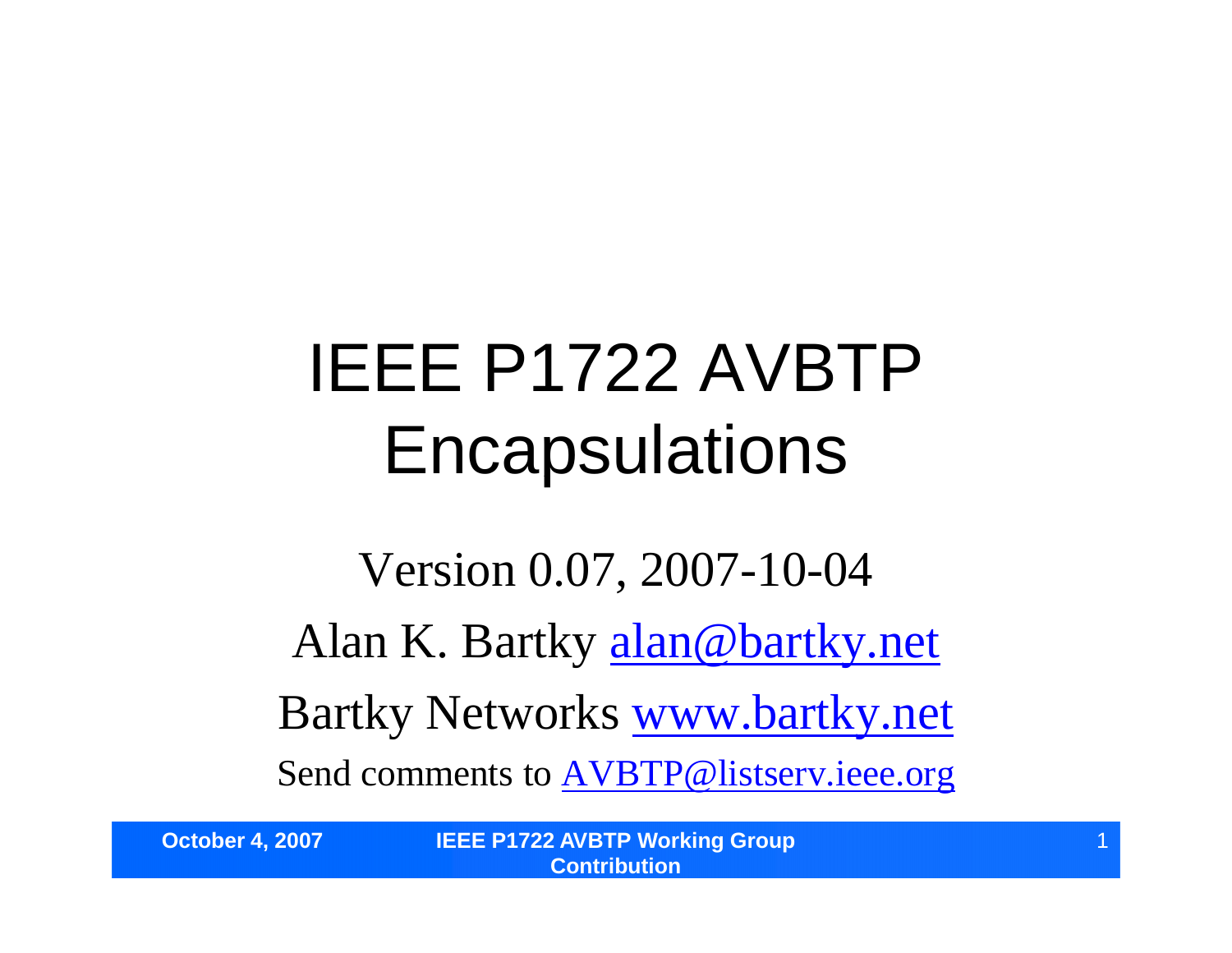## IEEE P1722 AVBTP **Encapsulations**

Version 0.07, 2007-10-04 Alan K. Bartky alan@bartky.net Bartky Networks www.bartky.net Send comments to AVBTP@listserv.ieee.org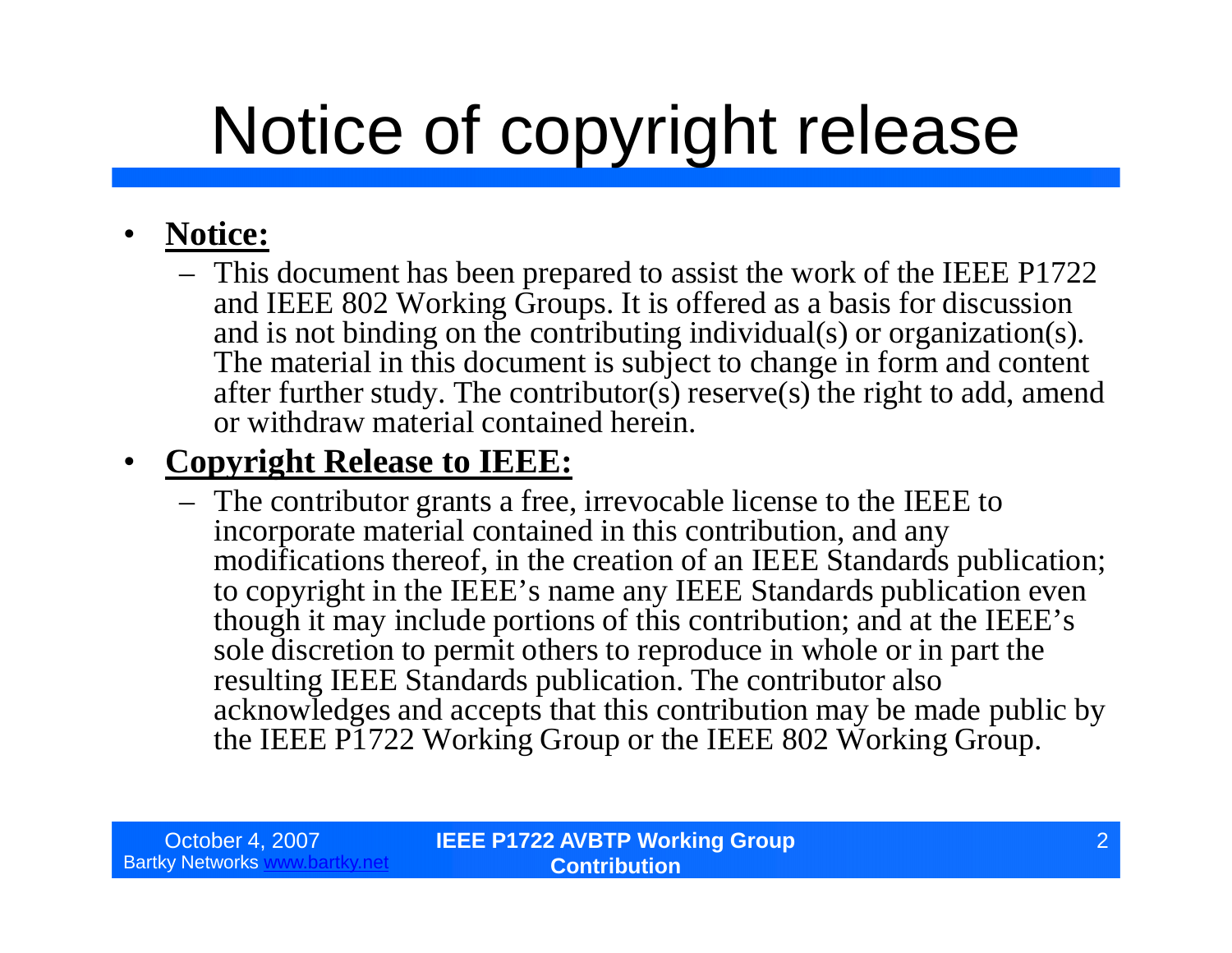## Notice of copyright release

#### • **Notice:**

– This document has been prepared to assist the work of the IEEE P1722 and IEEE 802 Working Groups. It is offered as a basis for discussion and is not binding on the contributing individual(s) or organization(s). The material in this document is subject to change in form and content after further study. The contributor(s) reserve(s) the right to add, amend or withdraw material contained herein.

#### • **Copyright Release to IEEE:**

– The contributor grants a free, irrevocable license to the IEEE to incorporate material contained in this contribution, and any modifications thereof, in the creation of an IEEE Standards publication; to copyright in the IEEE's name any IEEE Standards publication even though it may include portions of this contribution; and at the IEEE's sole discretion to permit others to reproduce in whole or in part the resulting IEEE Standards publication. The contributor also acknowledges and accepts that this contribution may be made public by the IEEE P1722 Working Group or the IEEE 802 Working Group.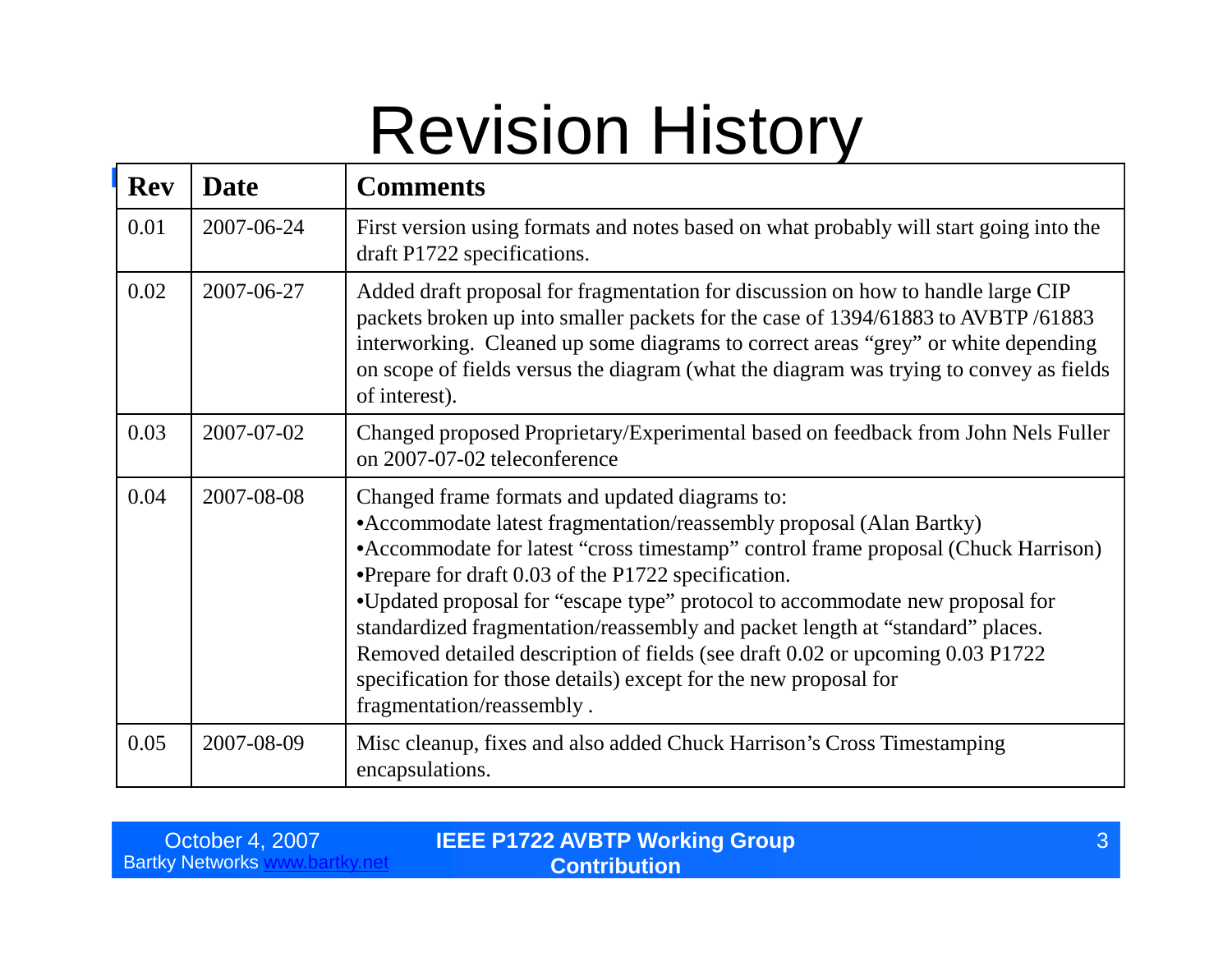### Revision History

| <b>Rev</b> | <b>Date</b> | <b>Comments</b>                                                                                                                                                                                                                                                                                                                                                                                                                                                                                                                                                                                                        |
|------------|-------------|------------------------------------------------------------------------------------------------------------------------------------------------------------------------------------------------------------------------------------------------------------------------------------------------------------------------------------------------------------------------------------------------------------------------------------------------------------------------------------------------------------------------------------------------------------------------------------------------------------------------|
| 0.01       | 2007-06-24  | First version using formats and notes based on what probably will start going into the<br>draft P1722 specifications.                                                                                                                                                                                                                                                                                                                                                                                                                                                                                                  |
| 0.02       | 2007-06-27  | Added draft proposal for fragmentation for discussion on how to handle large CIP<br>packets broken up into smaller packets for the case of 1394/61883 to AVBTP/61883<br>interworking. Cleaned up some diagrams to correct areas "grey" or white depending<br>on scope of fields versus the diagram (what the diagram was trying to convey as fields<br>of interest).                                                                                                                                                                                                                                                   |
| 0.03       | 2007-07-02  | Changed proposed Proprietary/Experimental based on feedback from John Nels Fuller<br>on 2007-07-02 teleconference                                                                                                                                                                                                                                                                                                                                                                                                                                                                                                      |
| 0.04       | 2007-08-08  | Changed frame formats and updated diagrams to:<br>• Accommodate latest fragmentation/reassembly proposal (Alan Bartky)<br>• Accommodate for latest "cross timestamp" control frame proposal (Chuck Harrison)<br>•Prepare for draft 0.03 of the P1722 specification.<br>•Updated proposal for "escape type" protocol to accommodate new proposal for<br>standardized fragmentation/reassembly and packet length at "standard" places.<br>Removed detailed description of fields (see draft 0.02 or upcoming 0.03 P1722<br>specification for those details) except for the new proposal for<br>fragmentation/reassembly. |
| 0.05       | 2007-08-09  | Misc cleanup, fixes and also added Chuck Harrison's Cross Timestamping<br>encapsulations.                                                                                                                                                                                                                                                                                                                                                                                                                                                                                                                              |

| October 4, 2007          | <b>IEEE P1722 AVBTP Working Group</b> |  |
|--------------------------|---------------------------------------|--|
| <b>Bartky Networks w</b> | <b>Contribution</b>                   |  |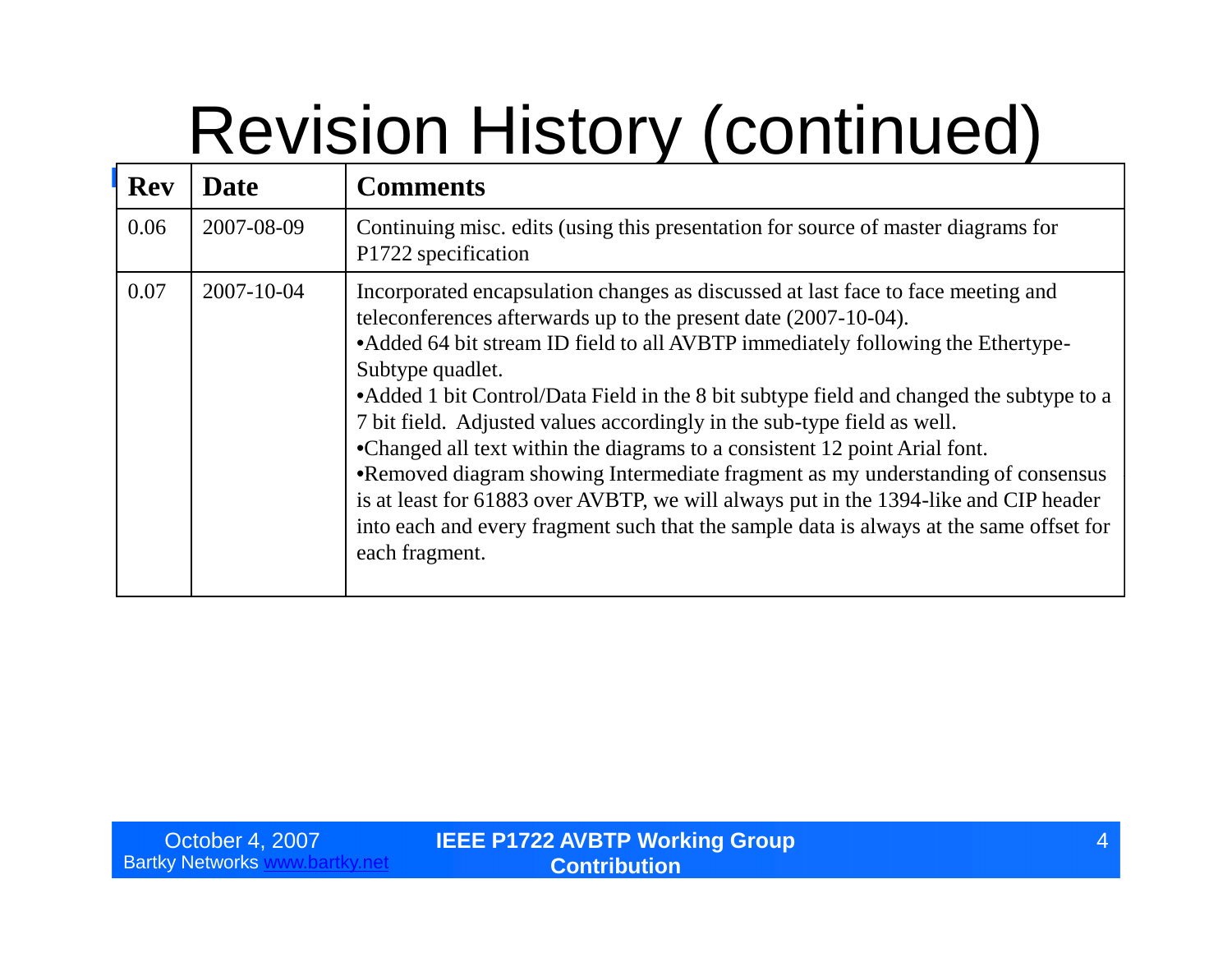# Revision History (continued)

| <b>Rev</b> | <b>Date</b>      | <b>Comments</b>                                                                                                                                                                                                                                                                                                                                                                                                                                                                                                                                                                                                                                                                                                                                                                                          |  |
|------------|------------------|----------------------------------------------------------------------------------------------------------------------------------------------------------------------------------------------------------------------------------------------------------------------------------------------------------------------------------------------------------------------------------------------------------------------------------------------------------------------------------------------------------------------------------------------------------------------------------------------------------------------------------------------------------------------------------------------------------------------------------------------------------------------------------------------------------|--|
| 0.06       | 2007-08-09       | Continuing misc. edits (using this presentation for source of master diagrams for<br>P1722 specification                                                                                                                                                                                                                                                                                                                                                                                                                                                                                                                                                                                                                                                                                                 |  |
| 0.07       | $2007 - 10 - 04$ | Incorporated encapsulation changes as discussed at last face to face meeting and<br>teleconferences afterwards up to the present date (2007-10-04).<br>• Added 64 bit stream ID field to all AVBTP immediately following the Ethertype-<br>Subtype quadlet.<br>• Added 1 bit Control/Data Field in the 8 bit subtype field and changed the subtype to a<br>7 bit field. Adjusted values accordingly in the sub-type field as well.<br>•Changed all text within the diagrams to a consistent 12 point Arial font.<br>•Removed diagram showing Intermediate fragment as my understanding of consensus<br>is at least for 61883 over AVBTP, we will always put in the 1394-like and CIP header<br>into each and every fragment such that the sample data is always at the same offset for<br>each fragment. |  |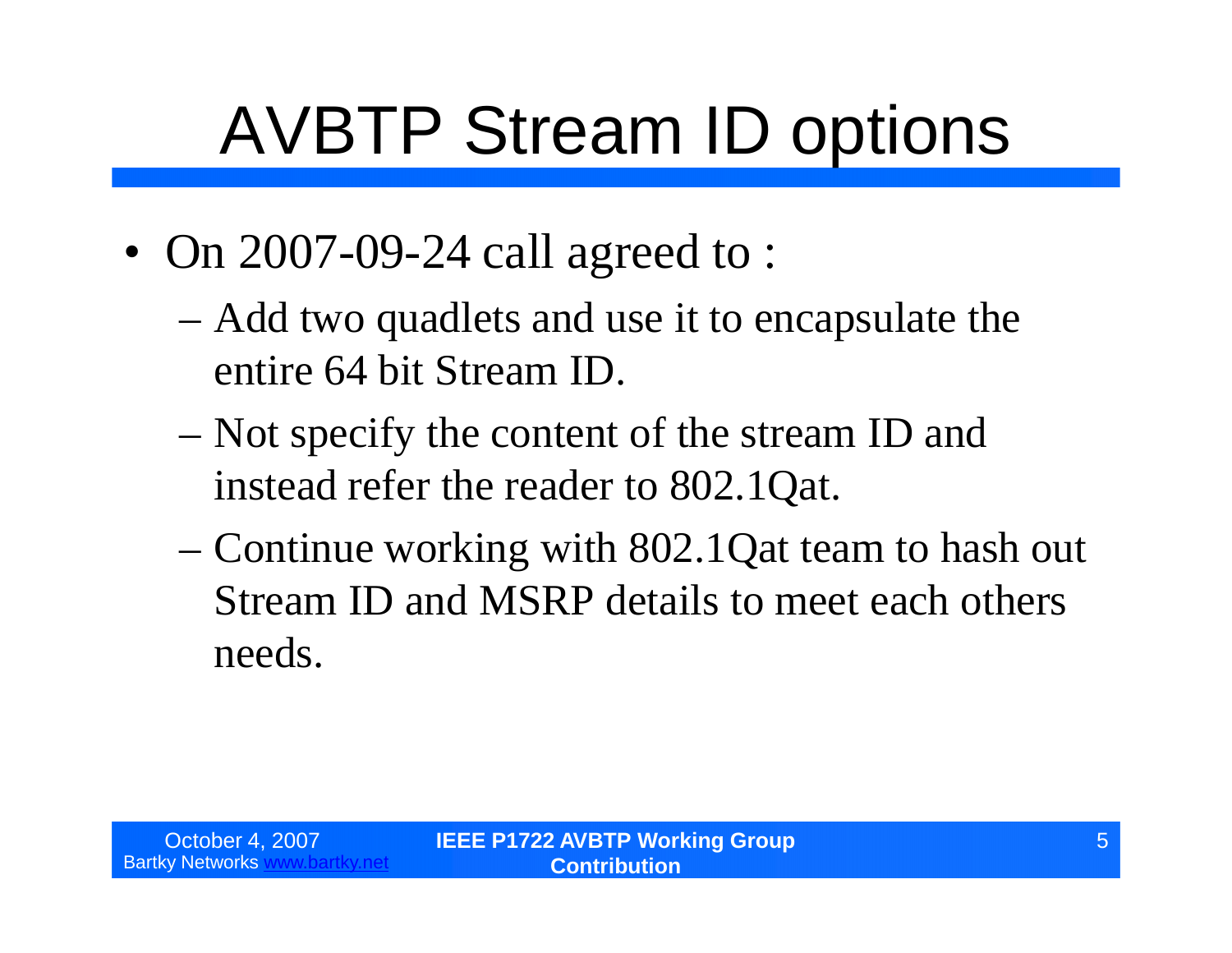# AVBTP Stream ID options

- On 2007-09-24 call agreed to :
	- –Add two quadlets and use it to encapsulate the entire 64 bit Stream ID.
	- –Not specify the content of the stream ID and instead refer the reader to 802.1Qat.
	- –Continue working with 802.1Qat team to hash out Stream ID and MSRP details to meet each others needs.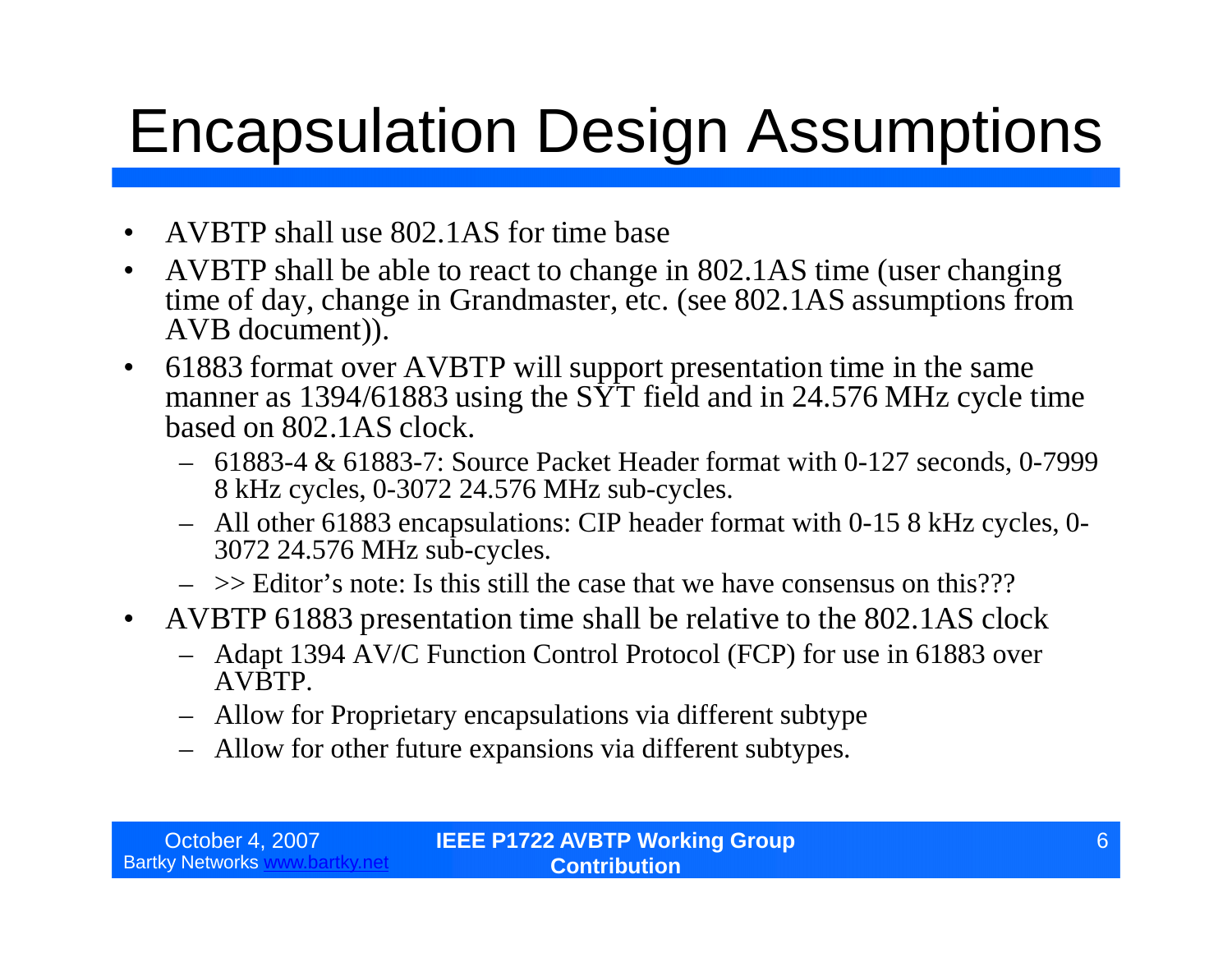### Encapsulation Design Assumptions

- AVBTP shall use 802.1AS for time base
- AVBTP shall be able to react to change in 802.1AS time (user changing time of day, change in Grandmaster, etc. (see 802.1AS assumptions from AVB document)).
- 61883 format over AVBTP will support presentation time in the same manner as 1394/61883 using the  $S\overline{Y}$  field and in 24.576 MHz cycle time based on 802.1AS clock.
	- 61883-4 & 61883-7: Source Packet Header format with 0-127 seconds, 0-7999 8 kHz cycles, 0-3072 24.576 MHz sub-cycles.
	- All other 61883 encapsulations: CIP header format with 0-15 8 kHz cycles, 0- 3072 24.576 MHz sub-cycles.
	- $\sim$   $\geq$  Editor's note: Is this still the case that we have consensus on this???
- AVBTP 61883 presentation time shall be relative to the 802.1AS clock
	- Adapt 1394 AV/C Function Control Protocol (FCP) for use in 61883 over AVBTP.
	- Allow for Proprietary encapsulations via different subtype
	- Allow for other future expansions via different subtypes.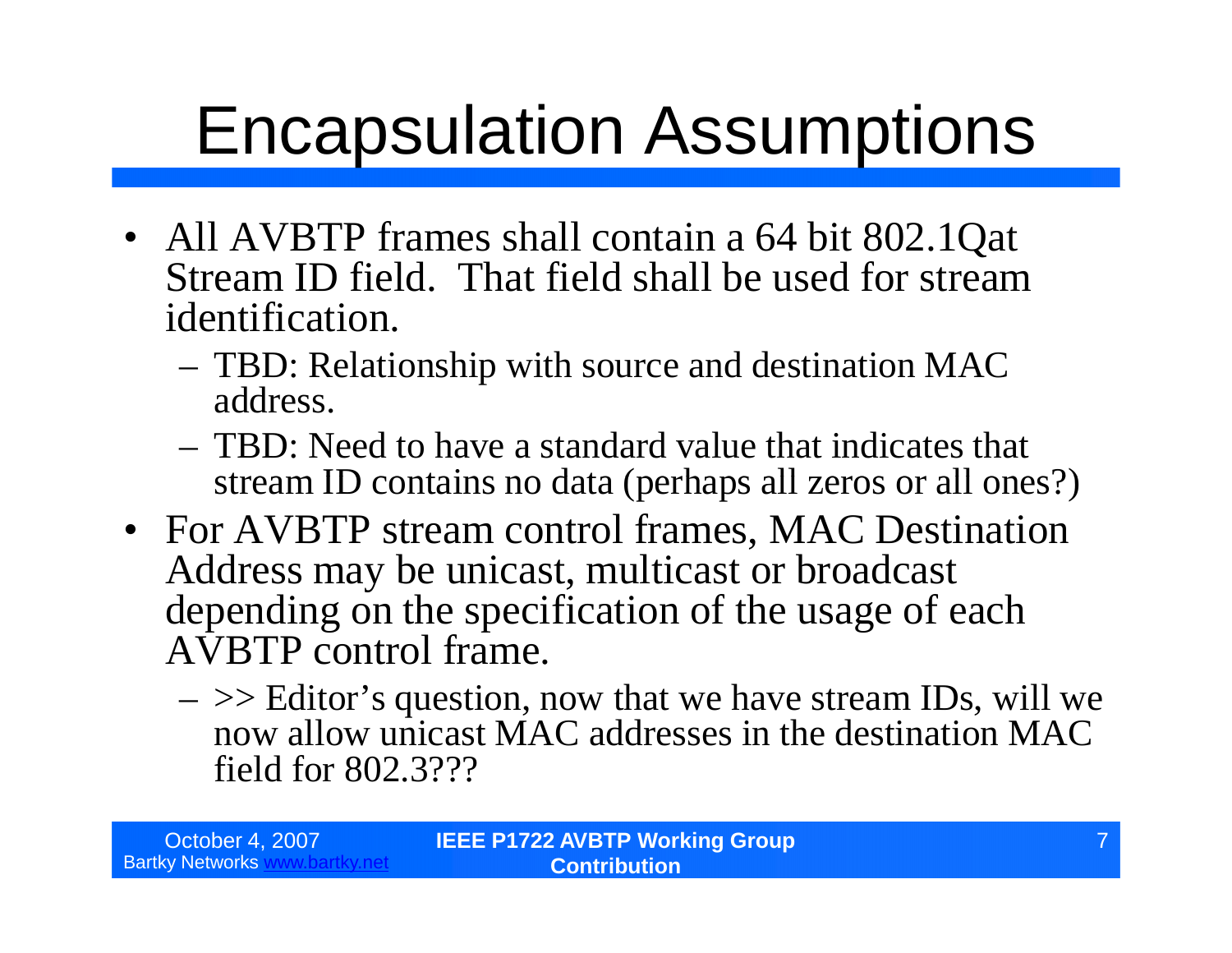## Encapsulation Assumptions

- All AVBTP frames shall contain a 64 bit 802.1Qat Stream ID field. That field shall be used for stream identification.
	- TBD: Relationship with source and destination MAC address.
	- TBD: Need to have a standard value that indicates that stream ID contains no data (perhaps all zeros or all ones?)
- For AVBTP stream control frames, MAC Destination Address may be unicast, multicast or broadcast depending on the specification of the usage of each AVBTP control frame.
	- $\sim$   $\geq$  Editor's question, now that we have stream IDs, will we now allow unicast MAC addresses in the destination MAC field for 802.3???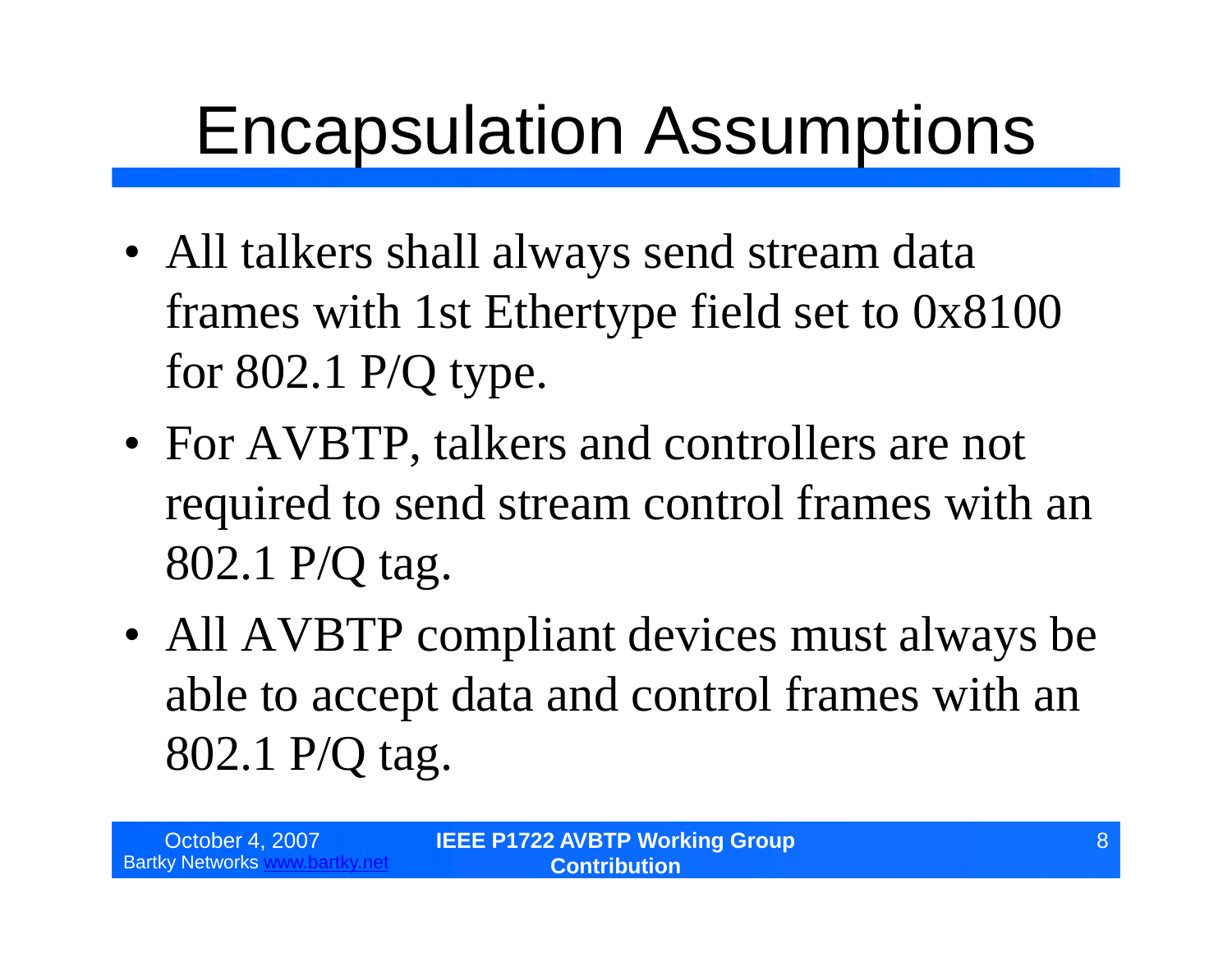### Encapsulation Assumptions

- All talkers shall always send stream data frames with 1st Ethertype field set to 0x8100 for 802.1 P/Q type.
- For AVBTP, talkers and controllers are not required to send stream control frames with an 802.1 P/Q tag.
- All AVBTP compliant devices must always be able to accept data and control frames with an 802.1 P/Q tag.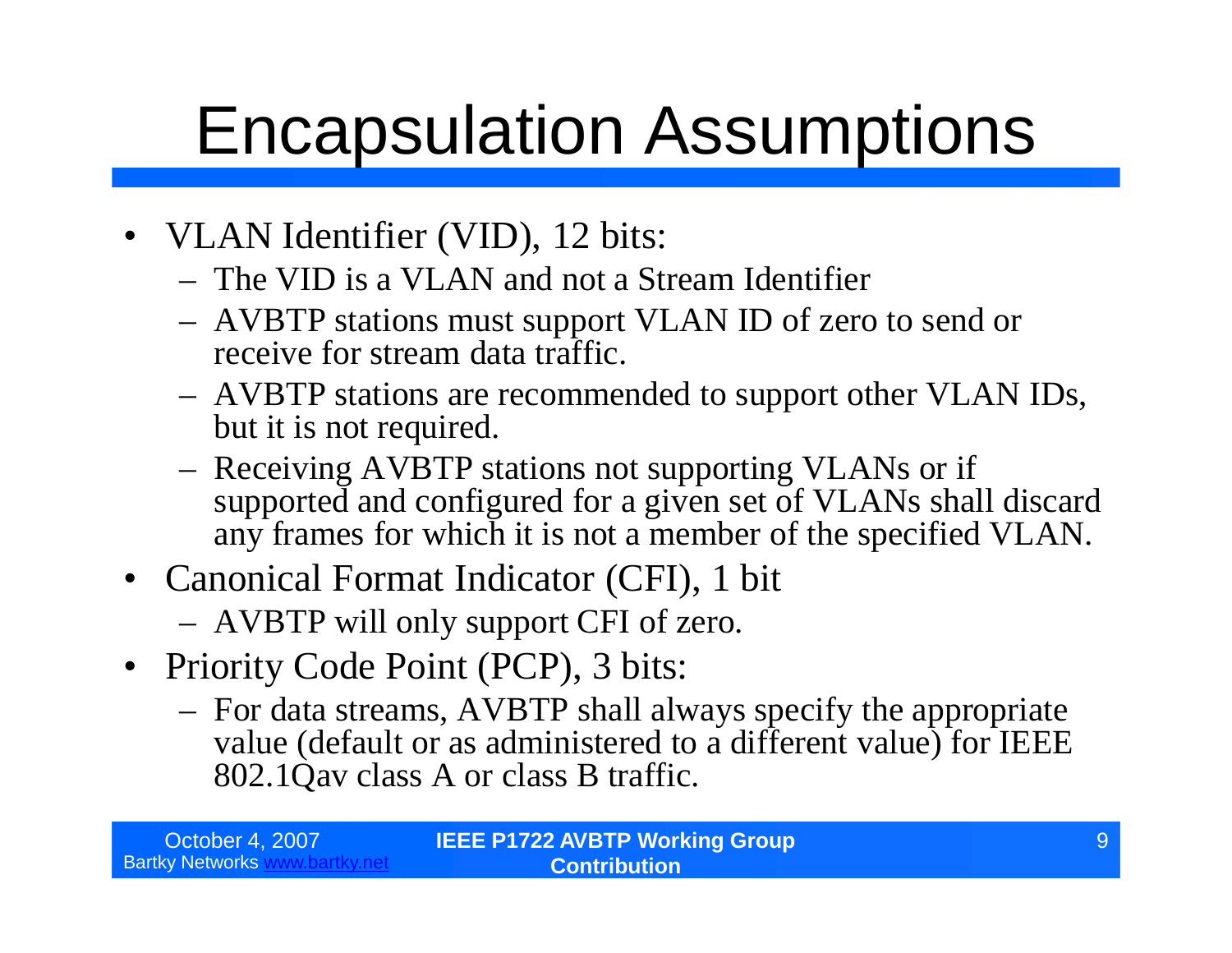### Encapsulation Assumptions

- VLAN Identifier (VID), 12 bits:
	- The VID is a VLAN and not a Stream Identifier
	- AVBTP stations must support VLAN ID of zero to send or receive for stream data traffic.
	- AVBTP stations are recommended to support other VLAN IDs, but it is not required.
	- Receiving AVBTP stations not supporting VLANs or if supported and configured for a given set of VLANs shall discard any frames for which it is not a member of the specified VLAN.
- Canonical Format Indicator (CFI), 1 bit
	- AVBTP will only support CFI of zero.
- Priority Code Point (PCP), 3 bits:
	- For data streams, AVBTP shall always specify the appropriate value (default or as administered to a different value) for IEEE 802.1Qav class A or class B traffic.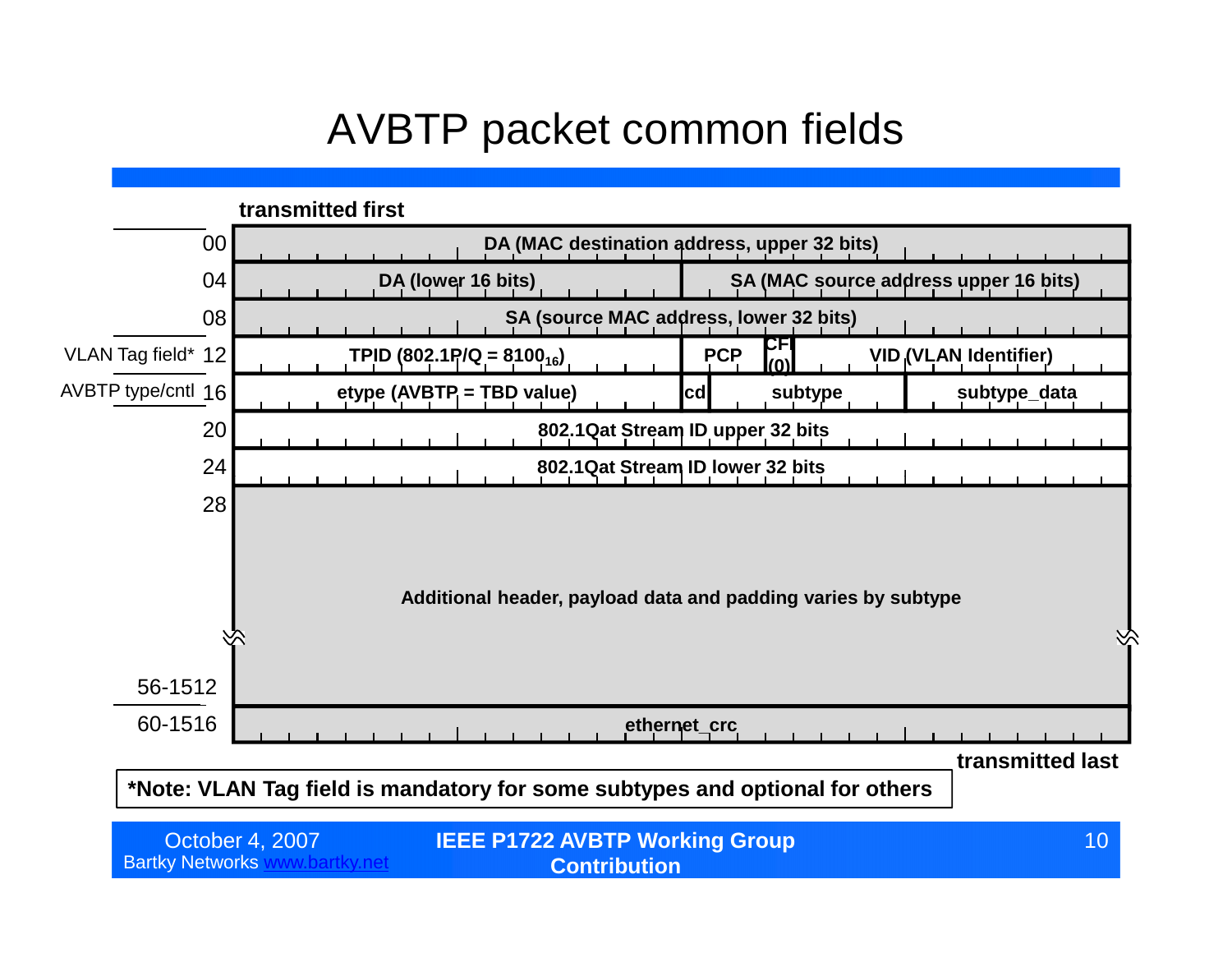### AVBTP packet common fields

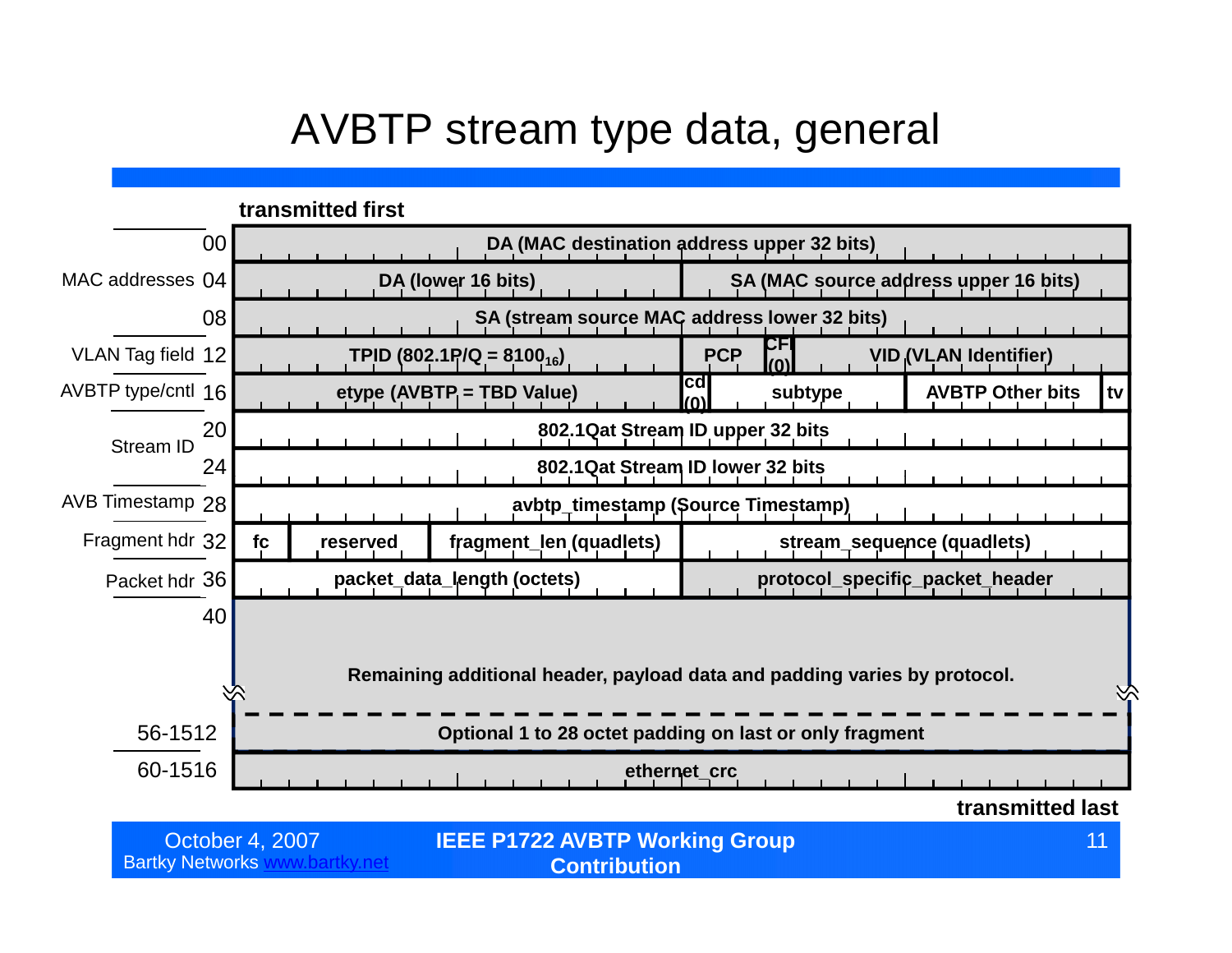#### AVBTP stream type data, general

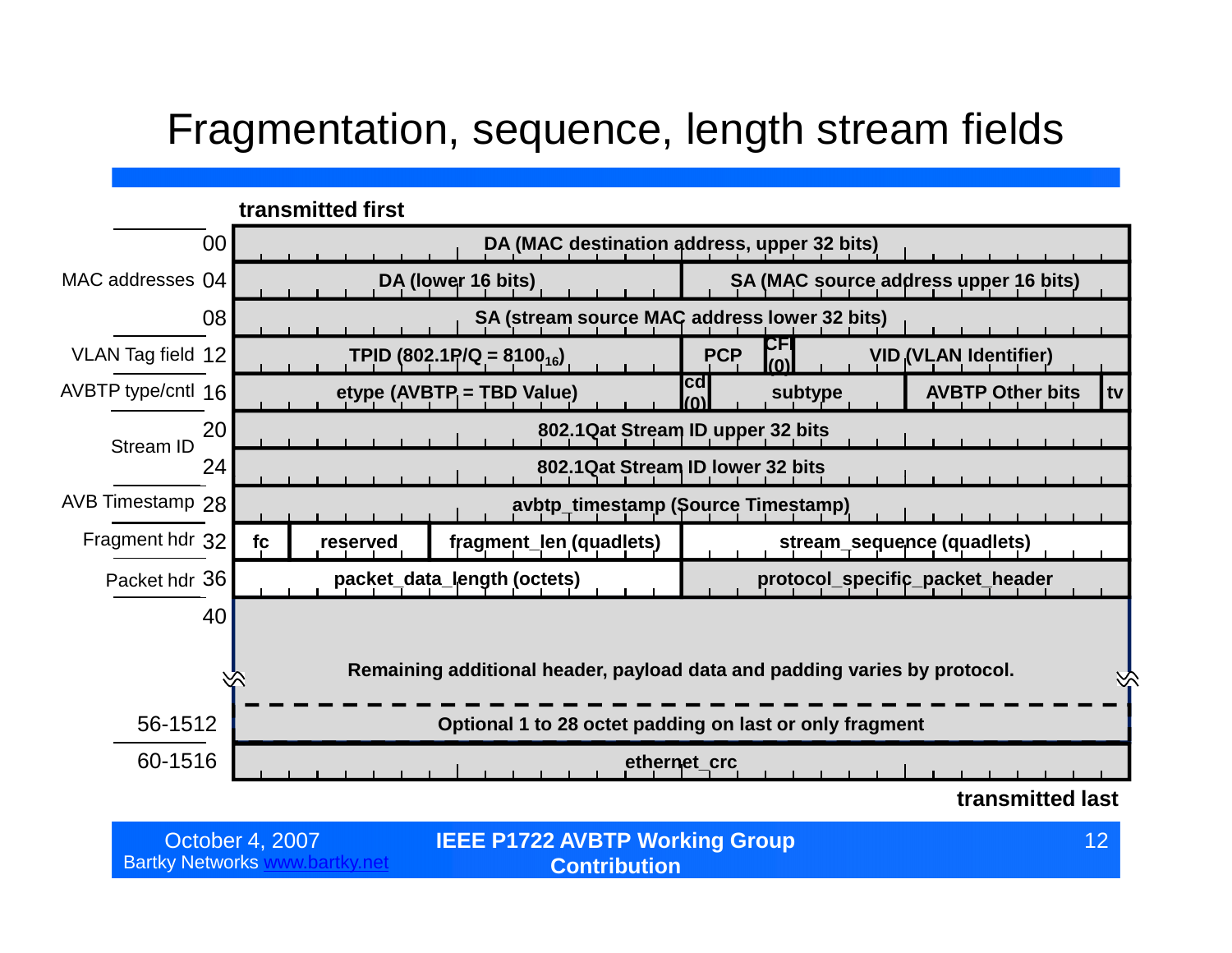#### Fragmentation, sequence, length stream fields



| October 4, 2007 | <b>IEEE P1722 AVBTP Working Group</b> |  |
|-----------------|---------------------------------------|--|
| v Networks i    | <b>Contribution</b>                   |  |

**Bartky Networks**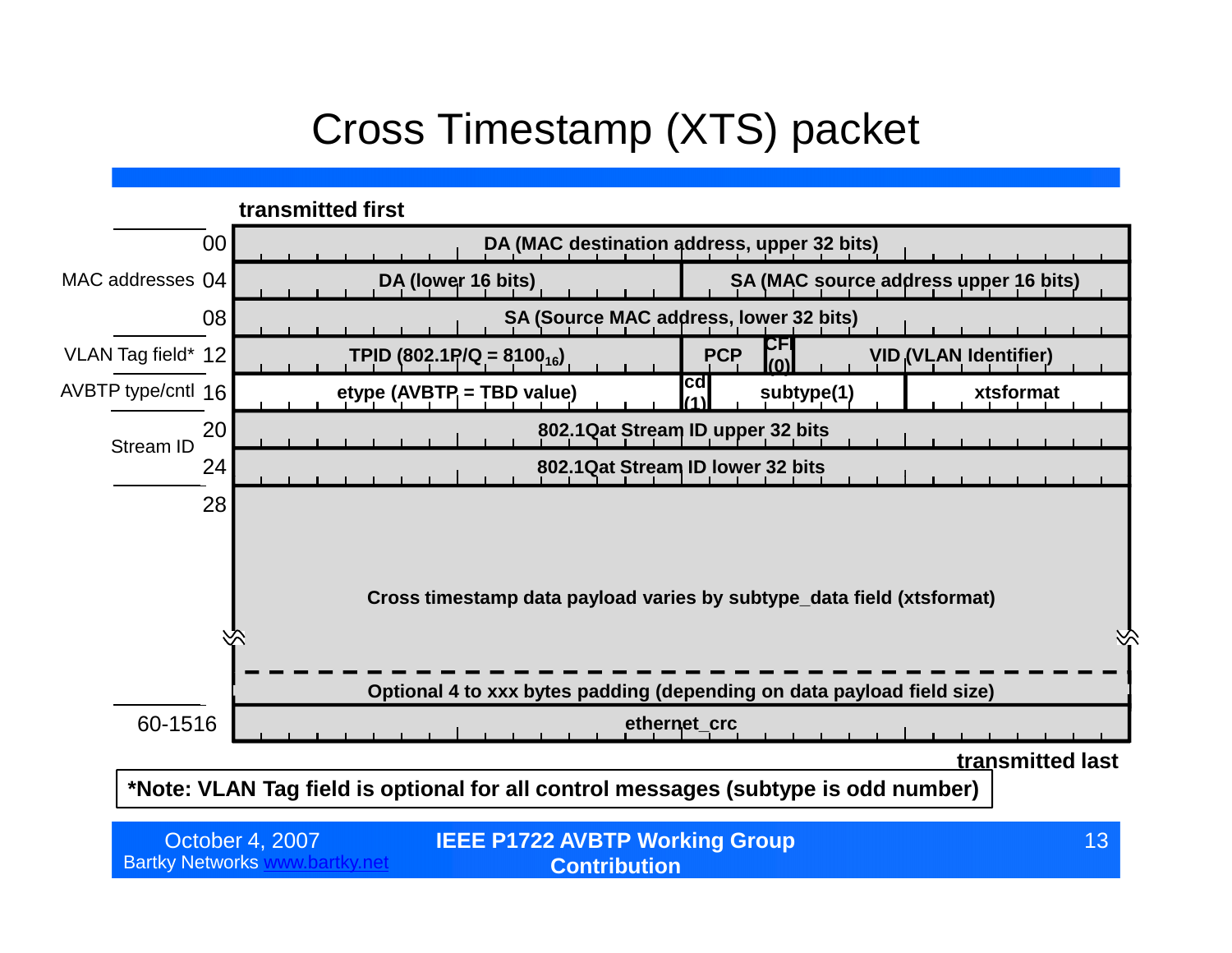### Cross Timestamp (XTS) packet



Bartky Networks www.bartky.net

**Contribution**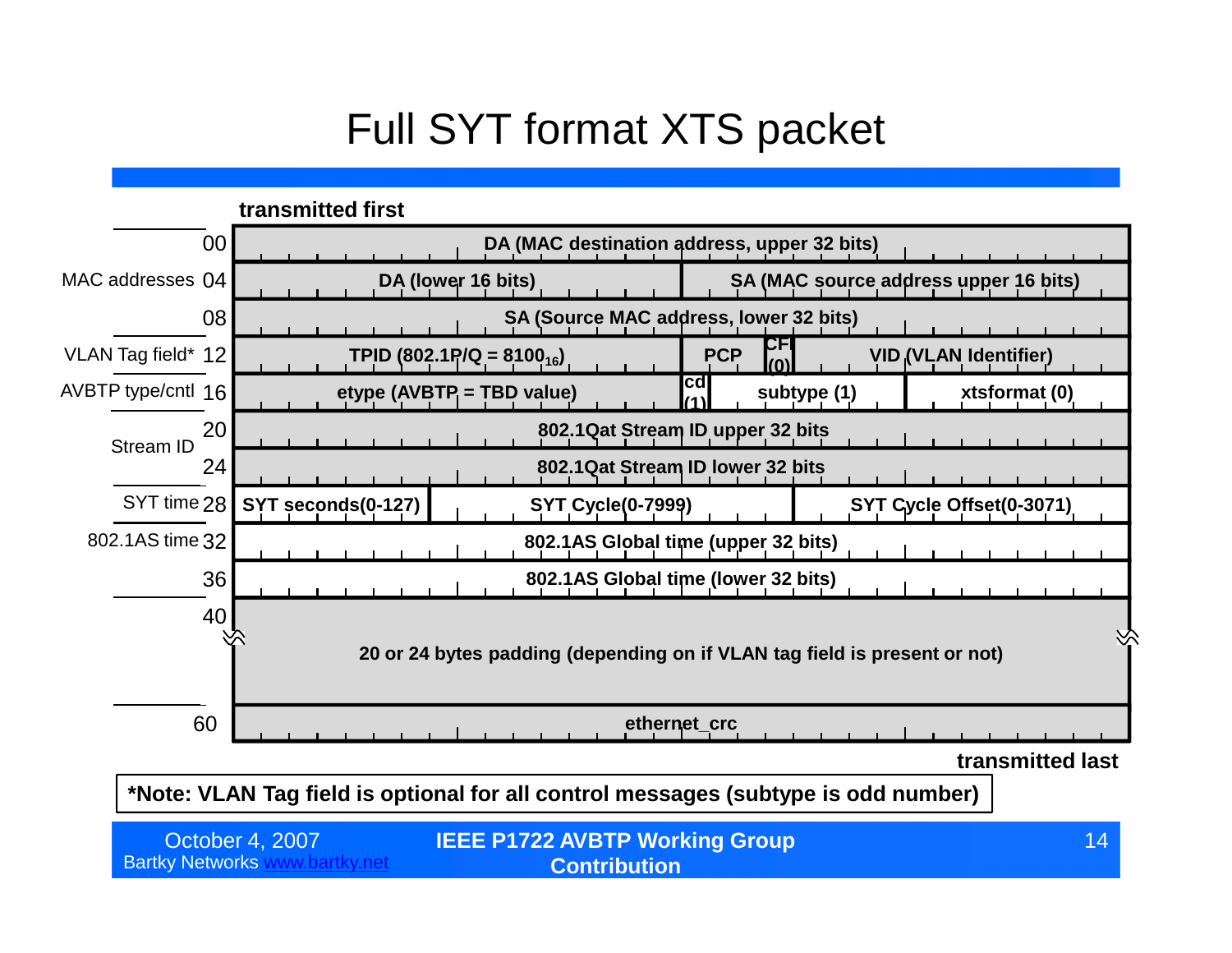### Full SYT format XTS packet



**\*Note: VLAN Tag field is optional for all control messages (subtype is odd number)**

| October 4, 2007          | <b>IEEE P1722 AVBTP Working Group</b> | 14 <sup>°</sup> |
|--------------------------|---------------------------------------|-----------------|
| <b>Bartky Networks w</b> | <b>Contribution</b>                   |                 |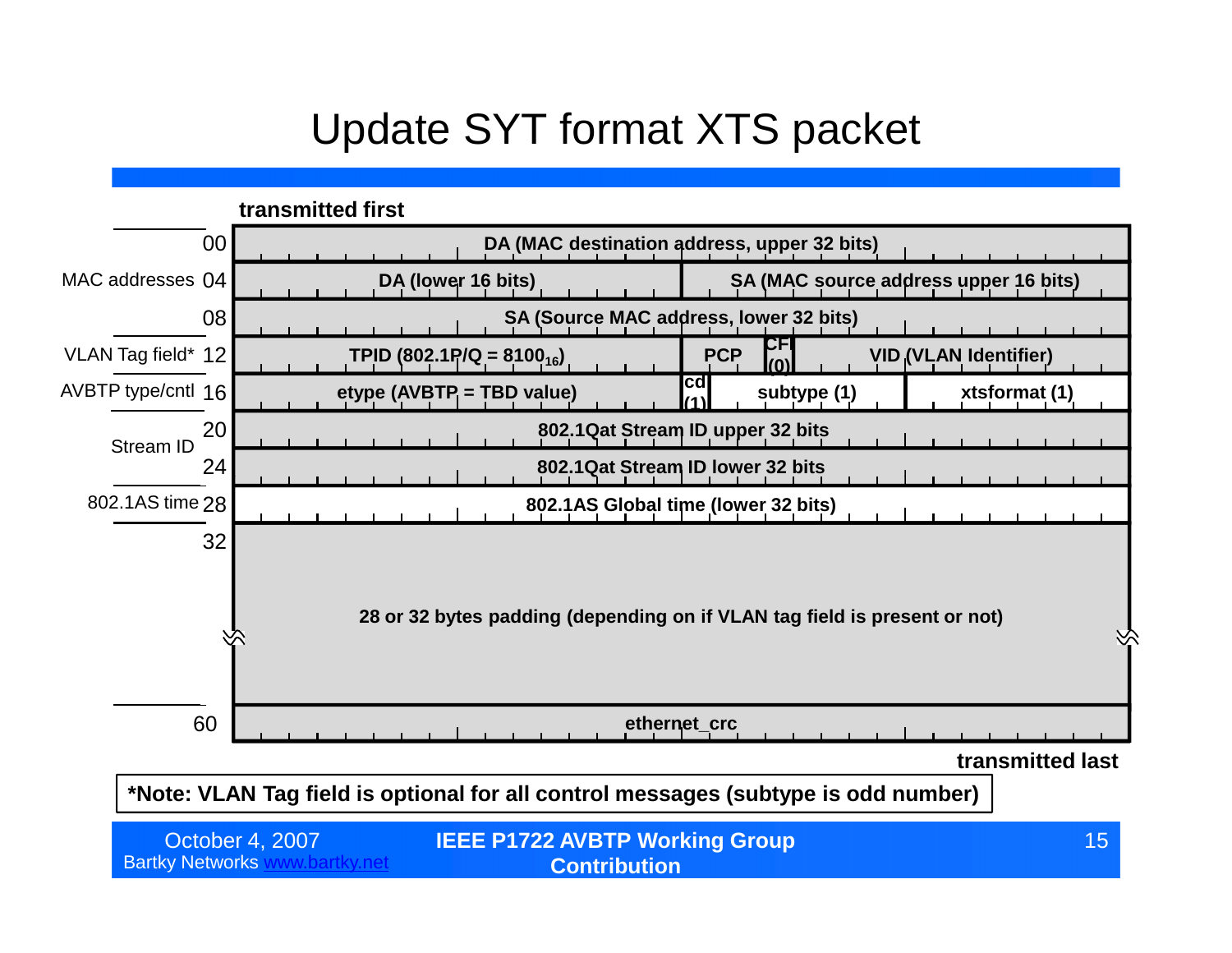#### Update SYT format XTS packet



**\*Note: VLAN Tag field is optional for all control messages (subtype is odd number)**

| October 4, 2007          | <b>IEEE P1722 AVBTP Working Group</b> | 15 <sup>°</sup> |
|--------------------------|---------------------------------------|-----------------|
| <b>Bartky Networks v</b> | <b>Contribution</b>                   |                 |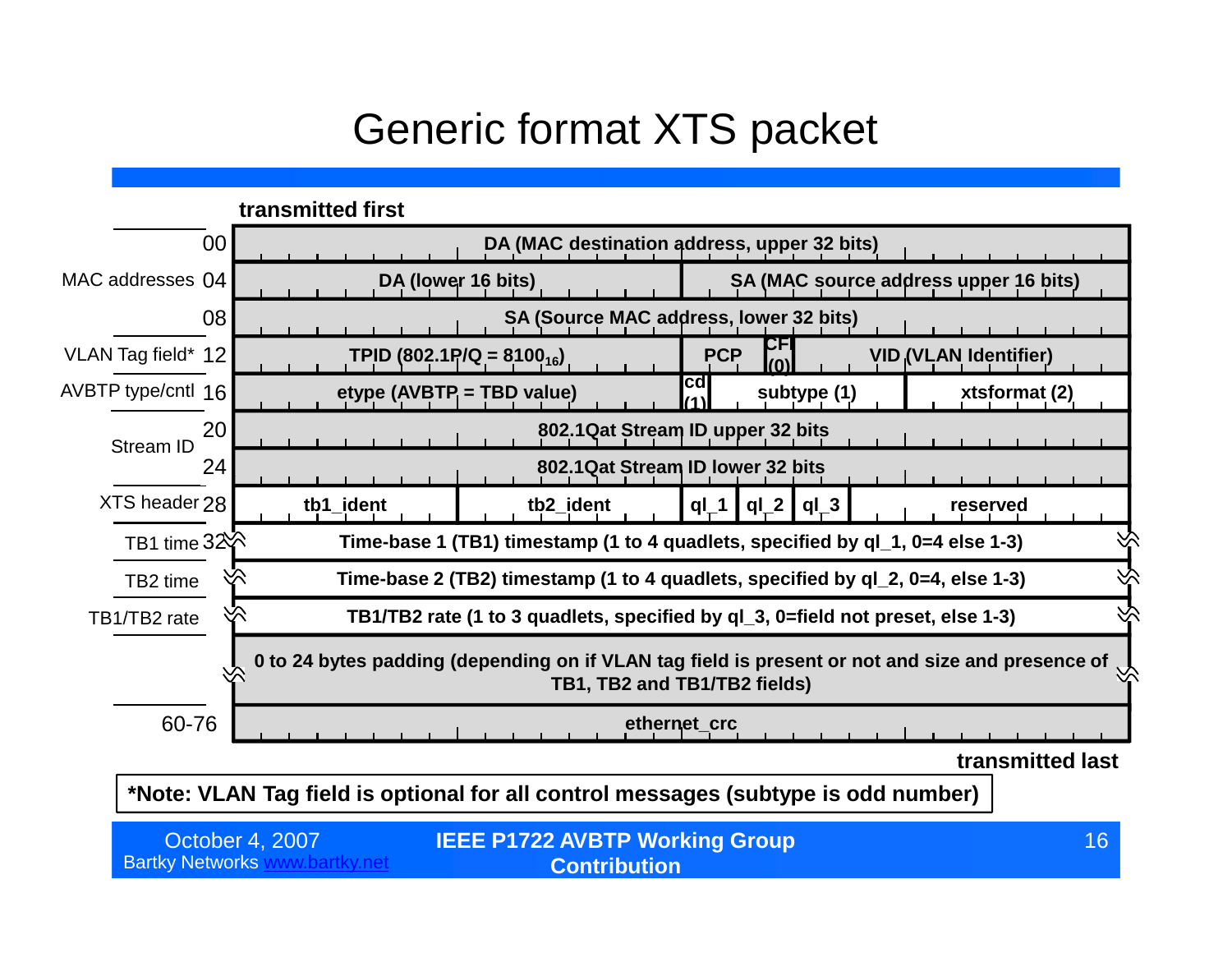#### Generic format XTS packet



**\*Note: VLAN Tag field is optional for all control messages (subtype is odd number)**

| October 4, 2007          | <b>IEEE P1722 AVBTP Working Group</b> | 16 <sup>°</sup> |
|--------------------------|---------------------------------------|-----------------|
| <b>Bartky Networks v</b> | <b>Contribution</b>                   |                 |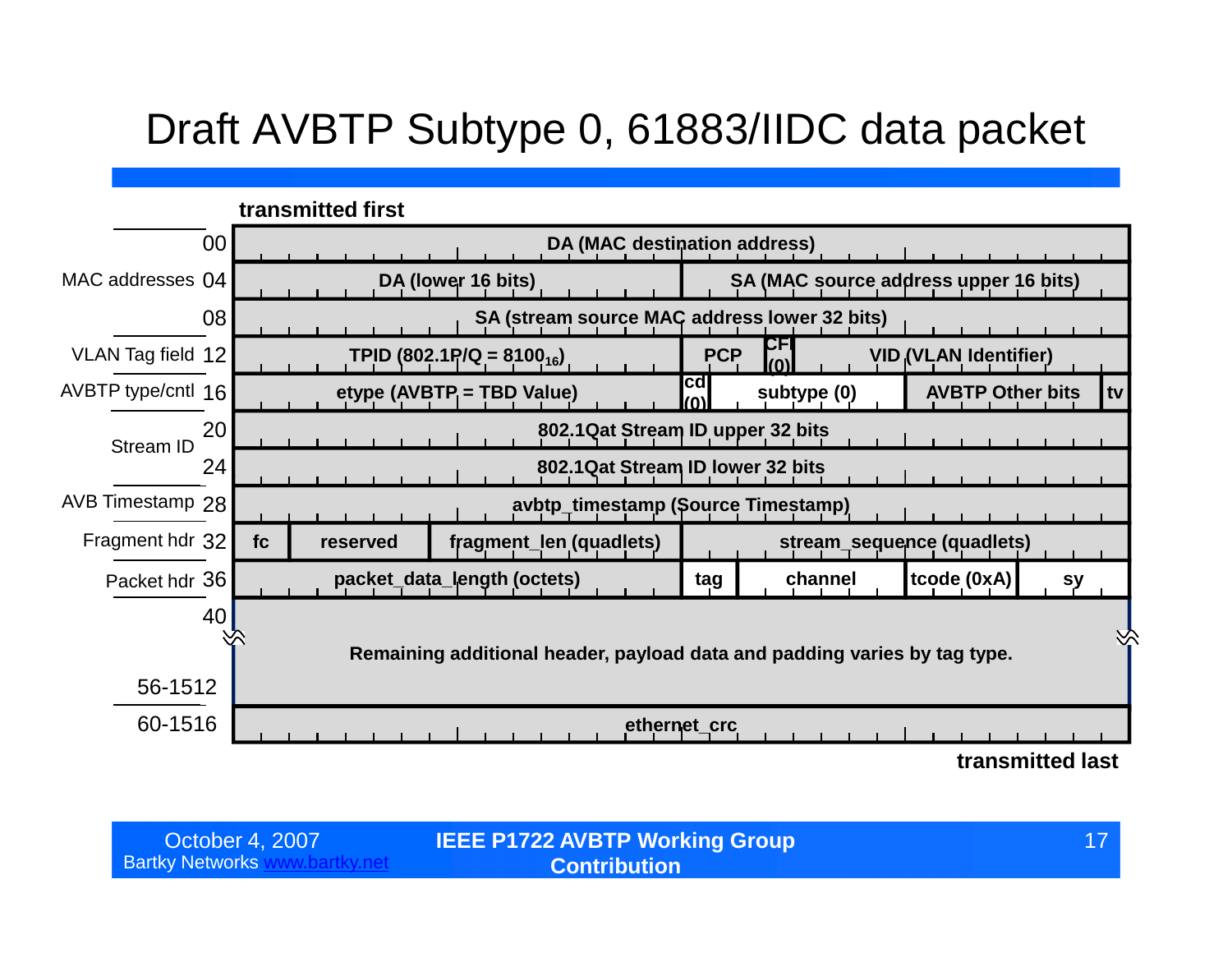### Draft AVBTP Subtype 0, 61883/IIDC data packet

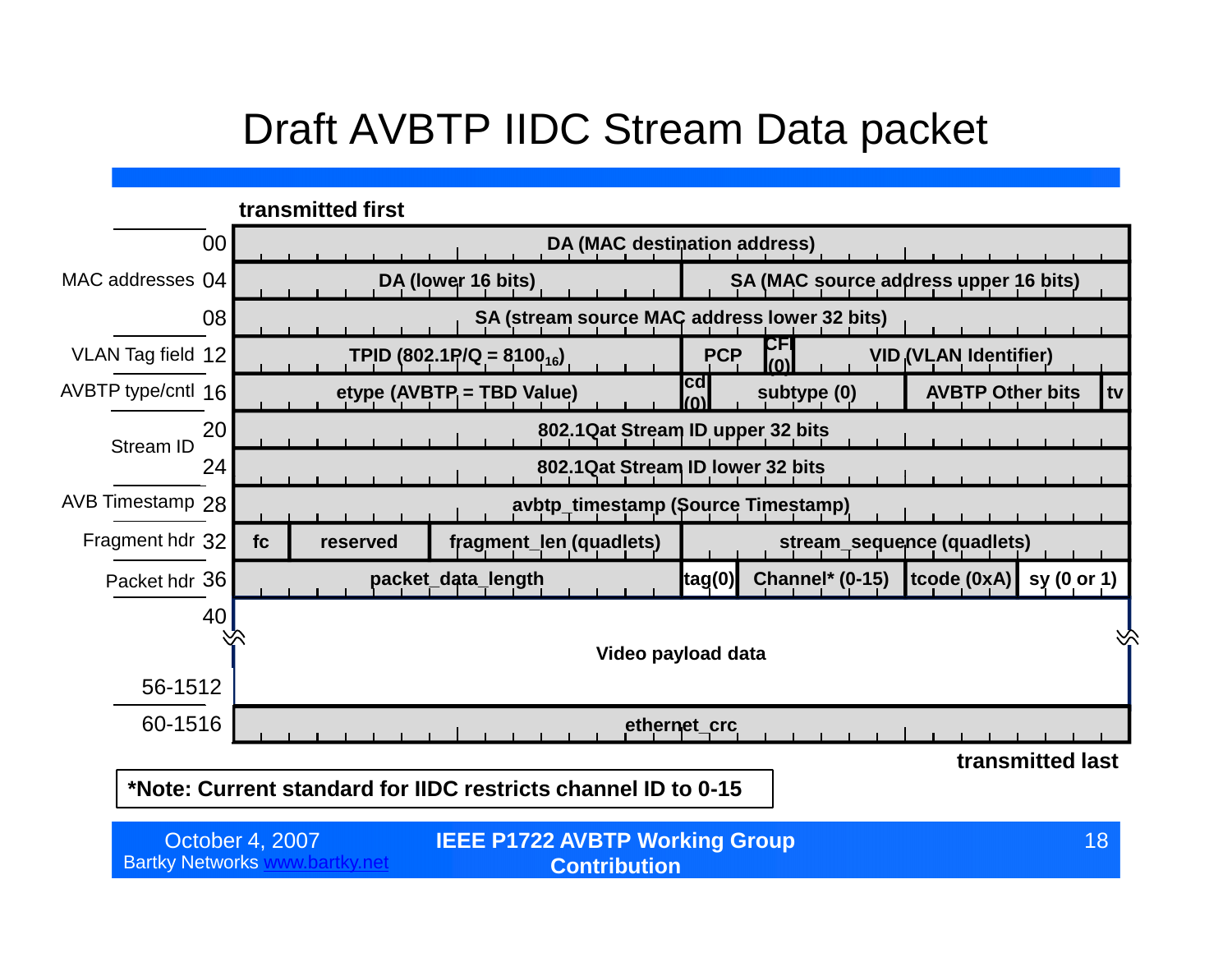#### Draft AVBTP IIDC Stream Data packet

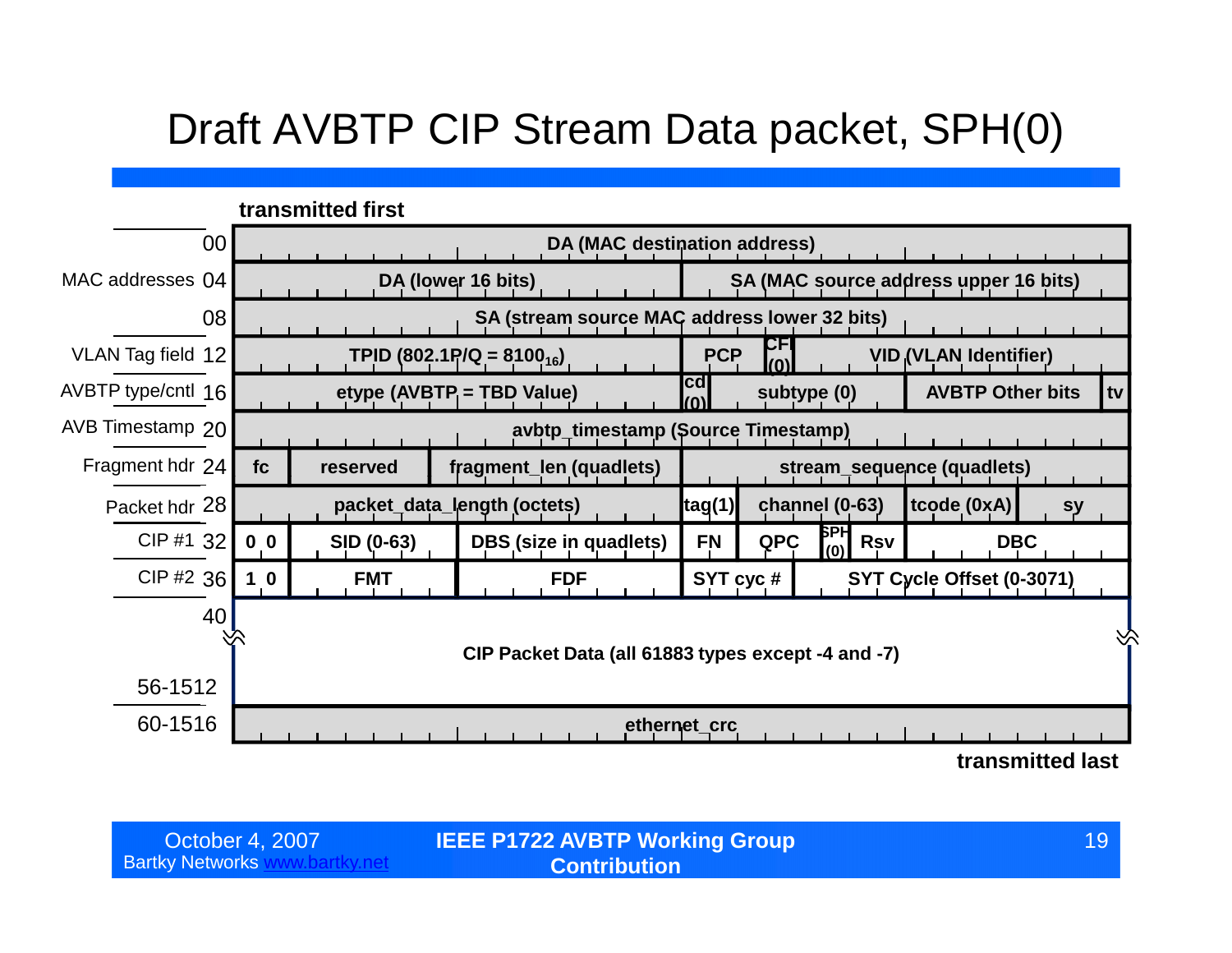#### Draft AVBTP CIP Stream Data packet, SPH(0)

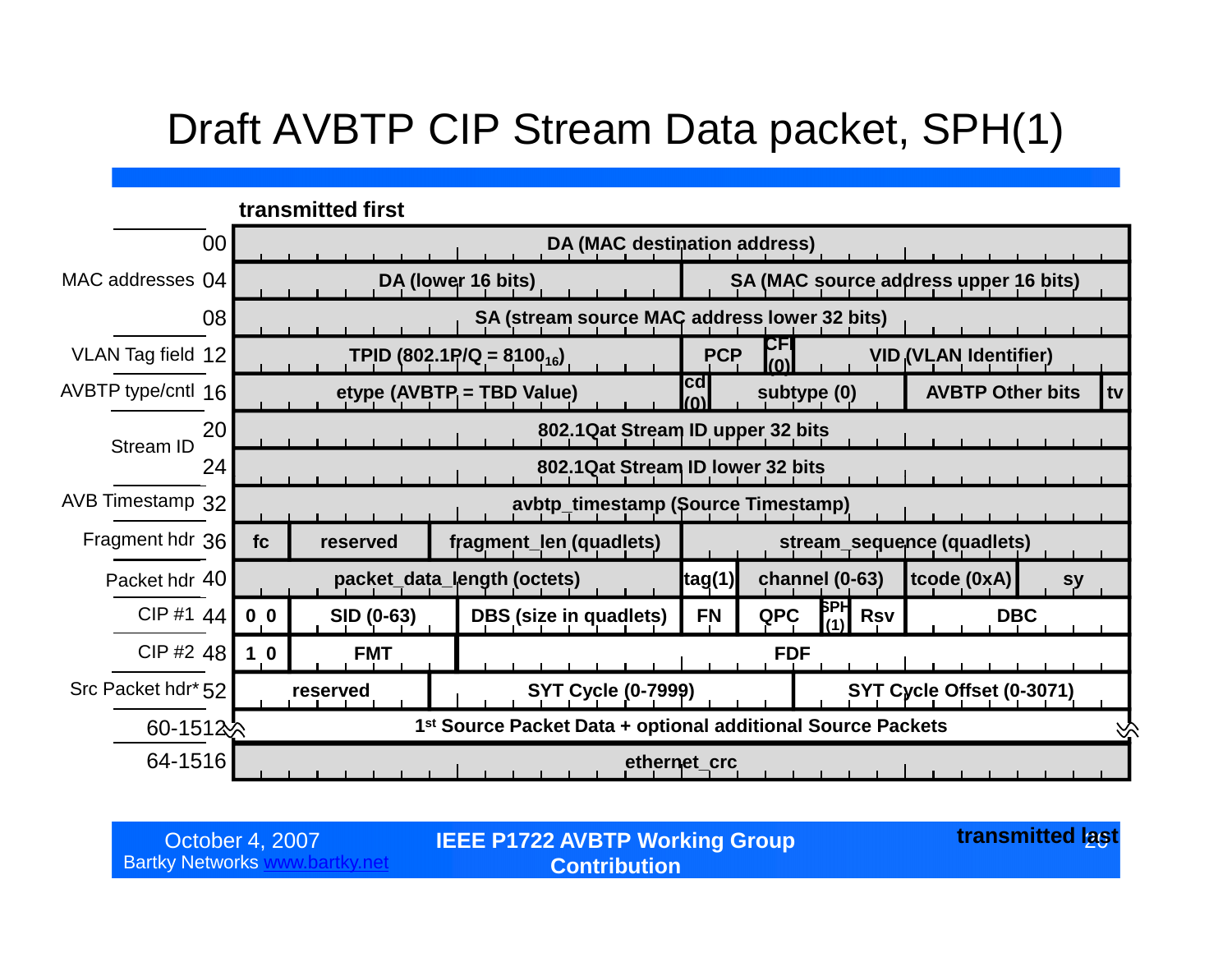#### Draft AVBTP CIP Stream Data packet, SPH(1)



Bartky Networks www.bartky.net

October 4, 2007 **IEEE P1722 AVBTP Working Group transmitted l<u>a</u>s Contribution**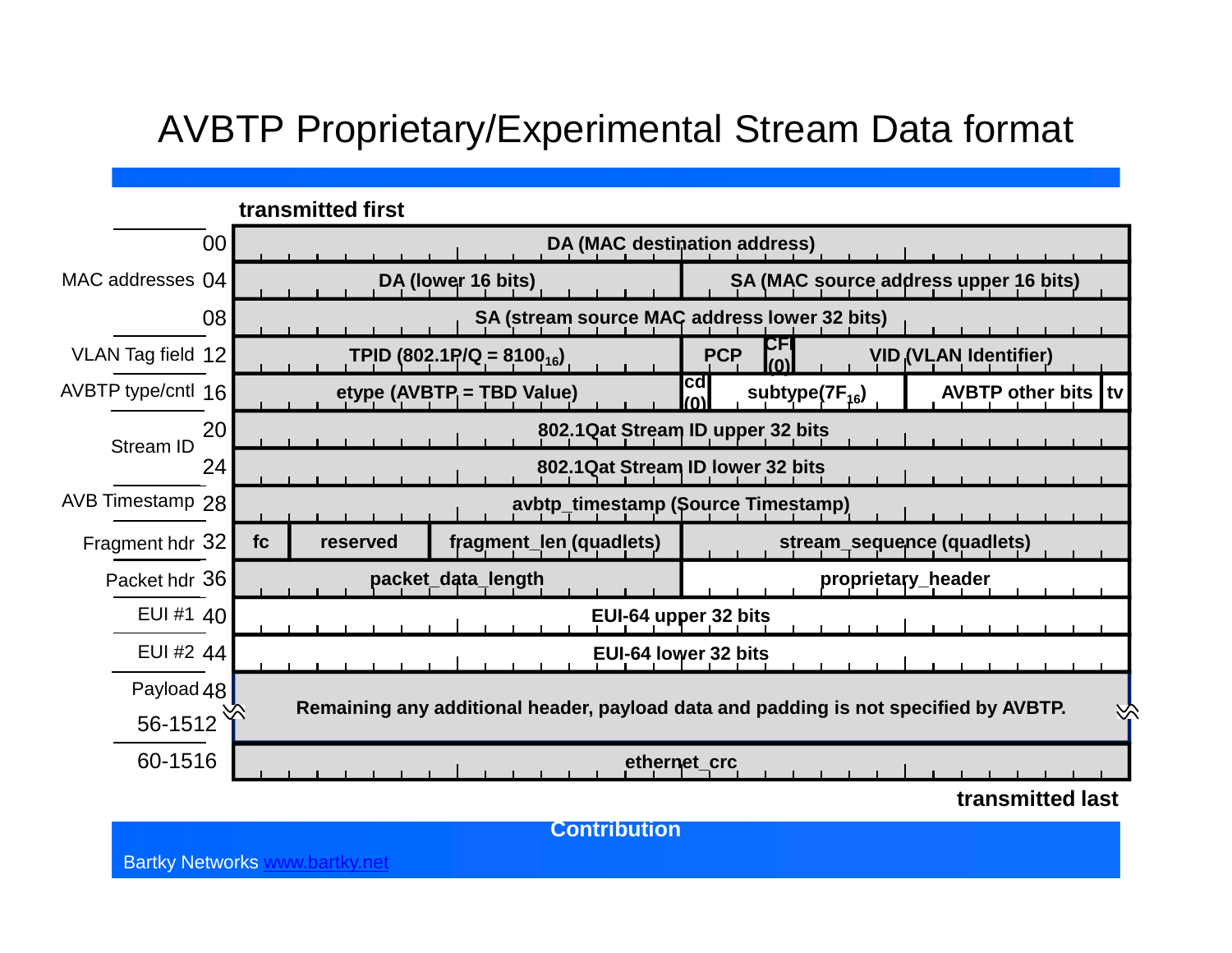#### AVBTP Proprietary/Experimental Stream Data format



**Contribution**

Bartky Networks www.bartky.net